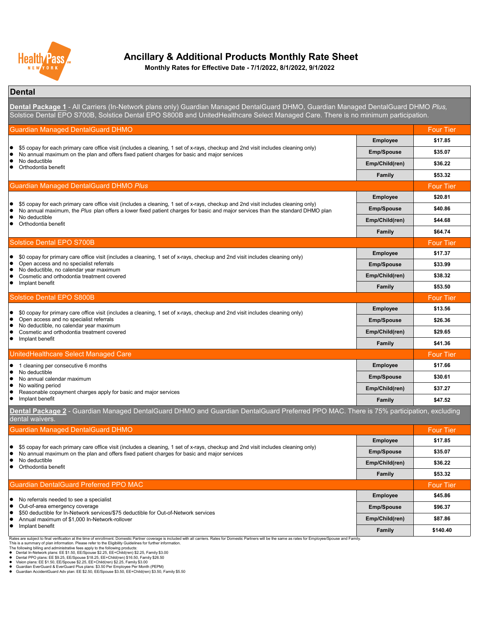

**Monthly Rates for Effective Date - 7/1/2022, 8/1/2022, 9/1/2022**

### **Dental**

Four Tier **Employee \$17.85 Emp/Spouse \$35.07 Emp/Child(ren) \$36.22 Family \$53.32** Four Tier **Employee \$20.81 Emp/Spouse \$40.86 Emp/Child(ren) \$44.68 Family \$64.74** Four Tier **Employee \$17.37 Emp/Spouse \$33.99 Emp/Child(ren) \$38.32 Family \$53.50 Four Tier Employee \$13.56 Emp/Spouse \$26.36 Emp/Child(ren) \$29.65 Family \$41.36** Four Tier **Employee \$17.66 Emp/Spouse \$30.61 Emp/Child(ren) \$37.27 Family \$47.52** Four Tier **Employee \$17.85 Emp/Spouse \$35.07 Emp/Child(ren) \$36.22 Family \$53.32** Four Tier **Employee \$45.86 Emp/Spouse \$96.37 Emp/Child(ren) \$87.86 Family \$140.40** ● \$0 copay for primary care office visit (includes a cleaning, 1 set of x-rays, checkup and 2nd visit includes cleaning only)<br>● Open access and no specialist referrals • Open access and no specialist referrals<br>• No deductible, no calendar vear maximu • No deductible, no calendar year maximum<br>• Cosmetic and orthodontia treatment cover Cosmetic and orthodontia treatment covered Implant benefit Solstice Dental EPO S800B Guardian Managed DentalGuard DHMO \$5 copay for each primary care office visit (includes a cleaning, 1 set of x-rays, checkup and 2nd visit includes cleaning only) ● No annual maximum, the *Plus* plan offers a lower fixed patient charges for basic and major services than the standard DHMO plan<br>● No deductible No deductible Orthodontia benefit ● \$0 copay for primary care office visit (includes a cleaning, 1 set of x-rays, checkup and 2nd visit includes cleaning only)<br>● Open access and no specialist referrals • Open access and no specialist referrals<br>• No deductible, no calendar vear maximu • No deductible, no calendar year maximum<br>• Cosmetic and orthodontia treatment cover • Cosmetic and orthodontia treatment covered<br>• Implant benefit Implant benefit Solstice Dental EPO S700B Rates are subject to final verification at the time of enrollment. Domestic Partner coverage is included with all carriers. Rates for Domestic Partners will be the same as rates for Employee/Spouse and Family.<br>The is a sum • No referrals needed to see a specialist<br>• Out-of-area emergency coverage Out-of-area emergency coverage \$50 deductible for In-Network services/\$75 deductible for Out-of-Network services Annual maximum of \$1,000 In-Network-rollover **•** Implant benefit • 1 cleaning per consecutive 6 months No deductible • No annual calendar maximum<br>• No waiting period • No waiting period<br>• Reasonable copa • Reasonable copayment charges apply for basic and major services<br>• Implant benefit Implant benefit UnitedHealthcare Select Managed Care **Dental Package 2** - Guardian Managed DentalGuard DHMO and Guardian DentalGuard Preferred PPO MAC. There is 75% participation, excluding dental waivers. ● \$5 copay for each primary care office visit (includes a cleaning, 1 set of x-rays, checkup and 2nd visit includes cleaning only)<br>● No annual maximum on the plan and offers fixed patient charges for basic and major servi No annual maximum on the plan and offers fixed patient charges for basic and major services • No deductible Orthodontia benefit Guardian DentalGuard Preferred PPO MAC ● \$5 copay for each primary care office visit (includes a cleaning, 1 set of x-rays, checkup and 2nd visit includes cleaning only)<br>● No annual maximum on the plan and offers fixed patient charges for basic and maior servi • No annual maximum on the plan and offers fixed patient charges for basic and major services<br>• No deductible • No deductible<br>• Orthodontia be Orthodontia benefit **Dental Package 1** - All Carriers (In-Network plans only) Guardian Managed DentalGuard DHMO, Guardian Managed DentalGuard DHMO *Plus,*  Solstice Dental EPO S700B, Solstice Dental EPO S800B and UnitedHealthcare Select Managed Care. There is no minimum participation. Guardian Managed DentalGuard DHMO *Plus*  Guardian Managed DentalGuard DHMO

Dental In-Network plans: EE \$1.50, EE/Spouse \$2.25, EE+Child(ren) \$2.25, Family \$3.00

● Dental PPO plans: EE \$9.25, EE/Spouse \$18.25, EE+Child(ren) \$16.50, Family \$26.50<br>● Vision plans: EE \$1.50, EE/Spouse \$2.25, EE+Child(ren) \$2.25, Family \$3.00<br>● Guardian EverGuard & EverGuard Plus plans: \$3.50 Per Emplo

Guardian AccidentGuard Adv plan: EE \$2.50, EE/Spouse \$3.50, EE+Child(ren) \$3.50, Family \$5.50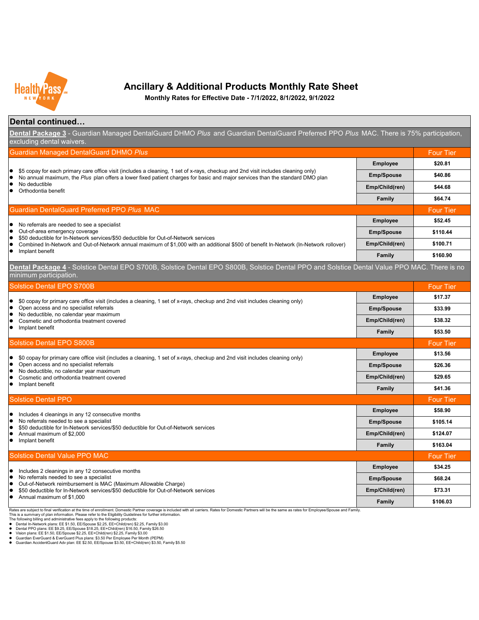

**Monthly Rates for Effective Date - 7/1/2022, 8/1/2022, 9/1/2022**

### **Dental continued…**

| Dental Package 3 - Guardian Managed DentalGuard DHMO Plus and Guardian DentalGuard Preferred PPO Plus MAC. There is 75% participation,<br>excluding dental waivers.                                                                                                                                        |                   |                   |
|------------------------------------------------------------------------------------------------------------------------------------------------------------------------------------------------------------------------------------------------------------------------------------------------------------|-------------------|-------------------|
| Guardian Managed DentalGuard DHMO Plus                                                                                                                                                                                                                                                                     |                   | <b>Four Tier</b>  |
| \$5 copay for each primary care office visit (includes a cleaning, 1 set of x-rays, checkup and 2nd visit includes cleaning only)<br>No annual maximum, the Plus plan offers a lower fixed patient charges for basic and major services than the standard DMO plan<br>No deductible<br>Orthodontia benefit | <b>Employee</b>   | \$20.81           |
|                                                                                                                                                                                                                                                                                                            | <b>Emp/Spouse</b> | \$40.86           |
|                                                                                                                                                                                                                                                                                                            | Emp/Child(ren)    | \$44.68           |
|                                                                                                                                                                                                                                                                                                            | <b>Family</b>     | \$64.74           |
| Guardian DentalGuard Preferred PPO Plus MAC                                                                                                                                                                                                                                                                |                   | <b>Four Tier</b>  |
|                                                                                                                                                                                                                                                                                                            | <b>Employee</b>   | \$52.45           |
| No referrals are needed to see a specialist<br>Out-of-area emergency coverage<br>0                                                                                                                                                                                                                         | <b>Emp/Spouse</b> | \$110.44          |
| \$50 deductible for In-Network services/\$50 deductible for Out-of-Network services<br>Combined In-Network and Out-of-Network annual maximum of \$1,000 with an additional \$500 of benefit In-Network (In-Network rollover)                                                                               | Emp/Child(ren)    | \$100.71          |
| Implant benefit                                                                                                                                                                                                                                                                                            | Family            | \$160.90          |
| Dental Package 4 - Solstice Dental EPO S700B, Solstice Dental EPO S800B, Solstice Dental PPO and Solstice Dental Value PPO MAC. There is no<br>minimum participation.                                                                                                                                      |                   |                   |
| <b>Solstice Dental EPO S700B</b>                                                                                                                                                                                                                                                                           |                   | <b>Four Tier</b>  |
| \$0 copay for primary care office visit (includes a cleaning, 1 set of x-rays, checkup and 2nd visit includes cleaning only)                                                                                                                                                                               | <b>Employee</b>   | \$17.37           |
| Open access and no specialist referrals                                                                                                                                                                                                                                                                    | <b>Emp/Spouse</b> | \$33.99           |
| No deductible, no calendar year maximum<br>Cosmetic and orthodontia treatment covered                                                                                                                                                                                                                      | Emp/Child(ren)    | \$38.32           |
| Implant benefit<br>۰                                                                                                                                                                                                                                                                                       | <b>Family</b>     | \$53.50           |
| Solstice Dental EPO S800B                                                                                                                                                                                                                                                                                  |                   | <b>Four Tier</b>  |
| \$0 copay for primary care office visit (includes a cleaning, 1 set of x-rays, checkup and 2nd visit includes cleaning only)                                                                                                                                                                               | <b>Employee</b>   | \$13.56           |
| Open access and no specialist referrals<br>No deductible, no calendar year maximum                                                                                                                                                                                                                         | <b>Emp/Spouse</b> | \$26.36           |
| Cosmetic and orthodontia treatment covered                                                                                                                                                                                                                                                                 | Emp/Child(ren)    | \$29.65           |
| Implant benefit                                                                                                                                                                                                                                                                                            | <b>Family</b>     | \$41.36           |
| <b>Solstice Dental PPO</b>                                                                                                                                                                                                                                                                                 |                   | <b>Four Tier</b>  |
| Includes 4 cleanings in any 12 consecutive months                                                                                                                                                                                                                                                          | <b>Employee</b>   | \$58.90           |
| No referrals needed to see a specialist<br>\$50 deductible for In-Network services/\$50 deductible for Out-of-Network services                                                                                                                                                                             | <b>Emp/Spouse</b> | \$105.14          |
| Annual maximum of \$2,000                                                                                                                                                                                                                                                                                  | Emp/Child(ren)    | \$124.07          |
| Implant benefit<br>0                                                                                                                                                                                                                                                                                       | Family            | \$163.04          |
| <b>Solstice Dental Value PPO MAC</b>                                                                                                                                                                                                                                                                       |                   | Four T <u>ier</u> |
| Includes 2 cleanings in any 12 consecutive months                                                                                                                                                                                                                                                          | <b>Employee</b>   | \$34.25           |
| No referrals needed to see a specialist<br>Out-of-Network reimbursement is MAC (Maximum Allowable Charge)<br>\$50 deductible for In-Network services/\$50 deductible for Out-of-Network services                                                                                                           | <b>Emp/Spouse</b> | \$68.24           |
|                                                                                                                                                                                                                                                                                                            | Emp/Child(ren)    | \$73.31           |
| Annual maximum of \$1,000                                                                                                                                                                                                                                                                                  | Family            | \$106.03          |
| Rates are subject to final verification at the time of enrollment. Domestic Partner coverage is included with all carriers. Rates for Domestic Partners will be the same as rates for Employee/Spouse and Family.                                                                                          |                   |                   |

Rates are subject to final verification at the time of enrollment. Domestic Partner coverage is included with all carriers. Rates for Domestic Partners will be the same as rates for Employee/Spouse and Family.<br>This is a s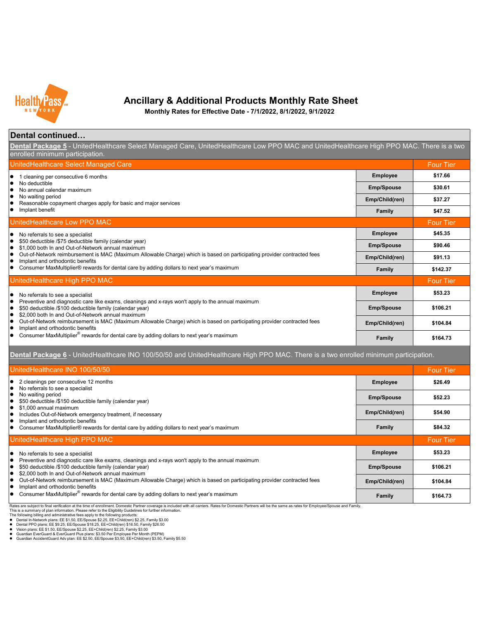

**Monthly Rates for Effective Date - 7/1/2022, 8/1/2022, 9/1/2022**

### **Dental continued…**

**Dental Package 5** - UnitedHealthcare Select Managed Care, UnitedHealthcare Low PPO MAC and UnitedHealthcare High PPO MAC. There is a two enrolled minimum participation

| UnitedHealthcare Select Managed Care                                                                                                                                                                                                                                                         |                   | <b>Four Tier</b> |
|----------------------------------------------------------------------------------------------------------------------------------------------------------------------------------------------------------------------------------------------------------------------------------------------|-------------------|------------------|
| 1 cleaning per consecutive 6 months<br>lo                                                                                                                                                                                                                                                    | <b>Employee</b>   | \$17.66          |
| No deductible<br>٠<br>No annual calendar maximum                                                                                                                                                                                                                                             | <b>Emp/Spouse</b> | \$30.61          |
| No waiting period<br>٠<br>Reasonable copayment charges apply for basic and major services<br>$\bullet$<br>Implant benefit<br>$\bullet$                                                                                                                                                       | Emp/Child(ren)    | \$37.27          |
|                                                                                                                                                                                                                                                                                              | Family            | \$47.52          |
| UnitedHealthcare Low PPO MAC                                                                                                                                                                                                                                                                 |                   | <b>Four Tier</b> |
| No referrals to see a specialist<br>$\bullet$<br>\$50 deductible /\$75 deductible family (calendar year)<br>$\bullet$<br>\$1,000 both In and Out-of-Network annual maximum<br>lo                                                                                                             | <b>Employee</b>   | \$45.35          |
|                                                                                                                                                                                                                                                                                              | <b>Emp/Spouse</b> | \$90.46          |
| Out-of-Network reimbursement is MAC (Maximum Allowable Charge) which is based on participating provider contracted fees<br>$\bullet$<br>Implant and orthodontic benefits<br>∣●                                                                                                               | Emp/Child(ren)    | \$91.13          |
| Consumer MaxMultiplier® rewards for dental care by adding dollars to next year's maximum<br>$\bullet$                                                                                                                                                                                        | Family            | \$142.37         |
| UnitedHealthcare High PPO MAC                                                                                                                                                                                                                                                                |                   | <b>Four Tier</b> |
| No referrals to see a specialist<br>lo<br>Preventive and diagnostic care like exams, cleanings and x-rays won't apply to the annual maximum<br>$\bullet$<br>\$50 deductible /\$100 deductible family (calendar year)<br>lo<br>\$2,000 both In and Out-of-Network annual maximum<br>$\bullet$ | <b>Employee</b>   | \$53.23          |
|                                                                                                                                                                                                                                                                                              | <b>Emp/Spouse</b> | \$106.21         |
| Out-of-Network reimbursement is MAC (Maximum Allowable Charge) which is based on participating provider contracted fees<br>$\bullet$<br>Implant and orthodontic benefits<br>$\bullet$                                                                                                        | Emp/Child(ren)    | \$104.84         |
| Consumer MaxMultiplier® rewards for dental care by adding dollars to next year's maximum                                                                                                                                                                                                     | <b>Family</b>     | \$164.73         |

**Dental Package 6** - UnitedHealthcare INO 100/50/50 and UnitedHealthcare High PPO MAC. There is a two enrolled minimum participation.

| UnitedHealthcare INO 100/50/50                                                                                                                                                                                                                                                                                                                                                                                        |                   | <b>Four Tier</b> |
|-----------------------------------------------------------------------------------------------------------------------------------------------------------------------------------------------------------------------------------------------------------------------------------------------------------------------------------------------------------------------------------------------------------------------|-------------------|------------------|
| $\bullet$ 2 cleanings per consecutive 12 months<br>No referrals to see a specialist<br>No waiting period<br>\$50 deductible /\$150 deductible family (calendar year)<br>\$1,000 annual maximum<br>$\bullet$<br>Includes Out-of-Network emergency treatment, if necessary<br>Implant and orthodontic benefits<br>lo<br>Consumer MaxMultiplier® rewards for dental care by adding dollars to next year's maximum        | <b>Employee</b>   | \$26.49          |
|                                                                                                                                                                                                                                                                                                                                                                                                                       | <b>Emp/Spouse</b> | \$52.23          |
|                                                                                                                                                                                                                                                                                                                                                                                                                       | Emp/Child(ren)    | \$54.90          |
|                                                                                                                                                                                                                                                                                                                                                                                                                       | <b>Family</b>     | \$84.32          |
| UnitedHealthcare High PPO MAC                                                                                                                                                                                                                                                                                                                                                                                         |                   | <b>Four Tier</b> |
| $\bullet$ No referrals to see a specialist<br>Preventive and diagnostic care like exams, cleanings and x-rays won't apply to the annual maximum<br>\$50 deductible /\$100 deductible family (calendar year)<br>$\bullet$<br>\$2,000 both In and Out-of-Network annual maximum<br>$\bullet$<br>Out-of-Network reimbursement is MAC (Maximum Allowable Charge) which is based on participating provider contracted fees | <b>Employee</b>   | \$53.23          |
|                                                                                                                                                                                                                                                                                                                                                                                                                       | <b>Emp/Spouse</b> | \$106.21         |
|                                                                                                                                                                                                                                                                                                                                                                                                                       | Emp/Child(ren)    | \$104.84         |
| Implant and orthodontic benefits                                                                                                                                                                                                                                                                                                                                                                                      |                   |                  |

Rates are subject to final verification at the time of enrollment. Domestic Partner coverage is included with all carriers. Rates for Domestic Partners will be the same as rates for Employee/Spouse and Family.<br>This is a s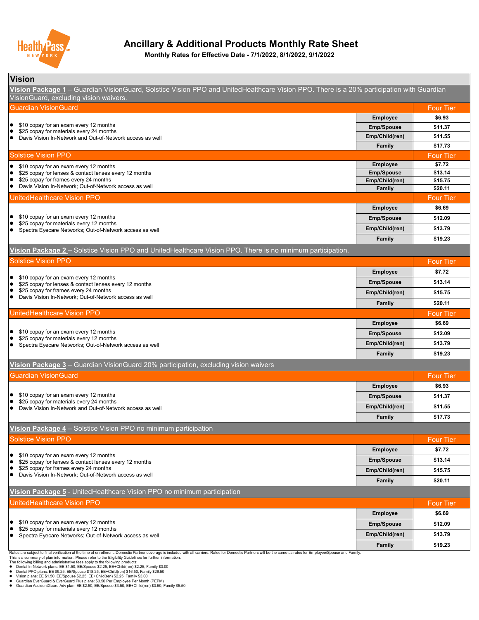

**Monthly Rates for Effective Date - 7/1/2022, 8/1/2022, 9/1/2022**

| <b>Vision</b>                                                                                                                                                                                                                                                                                                                                                                                                     |                                     |                    |
|-------------------------------------------------------------------------------------------------------------------------------------------------------------------------------------------------------------------------------------------------------------------------------------------------------------------------------------------------------------------------------------------------------------------|-------------------------------------|--------------------|
| Vision Package 1 - Guardian VisionGuard, Solstice Vision PPO and UnitedHealthcare Vision PPO. There is a 20% participation with Guardian<br>VisionGuard, excluding vision waivers.                                                                                                                                                                                                                                |                                     |                    |
| <b>Guardian VisionGuard</b>                                                                                                                                                                                                                                                                                                                                                                                       |                                     | <b>Four Tier</b>   |
|                                                                                                                                                                                                                                                                                                                                                                                                                   | <b>Employee</b>                     | \$6.93             |
| \$10 copay for an exam every 12 months<br>$\bullet$<br>\$25 copay for materials every 24 months                                                                                                                                                                                                                                                                                                                   | <b>Emp/Spouse</b>                   | \$11.37            |
| Davis Vision In-Network and Out-of-Network access as well<br>$\bullet$                                                                                                                                                                                                                                                                                                                                            | Emp/Child(ren)                      | \$11.55            |
|                                                                                                                                                                                                                                                                                                                                                                                                                   | <b>Family</b>                       | \$17.73            |
| <b>Solstice Vision PPO</b>                                                                                                                                                                                                                                                                                                                                                                                        |                                     | <b>Four Tier</b>   |
| \$10 copay for an exam every 12 months                                                                                                                                                                                                                                                                                                                                                                            | <b>Employee</b>                     | \$7.72             |
| \$25 copay for lenses & contact lenses every 12 months<br>$\bullet$<br>\$25 copay for frames every 24 months<br>$\bullet$                                                                                                                                                                                                                                                                                         | <b>Emp/Spouse</b><br>Emp/Child(ren) | \$13.14<br>\$15.75 |
| Davis Vision In-Network; Out-of-Network access as well<br>$\bullet$                                                                                                                                                                                                                                                                                                                                               | <b>Family</b>                       | \$20.11            |
| UnitedHealthcare Vision PPO                                                                                                                                                                                                                                                                                                                                                                                       |                                     | <b>Four Tier</b>   |
|                                                                                                                                                                                                                                                                                                                                                                                                                   | <b>Employee</b>                     | \$6.69             |
| \$10 copay for an exam every 12 months<br>$\bullet$                                                                                                                                                                                                                                                                                                                                                               | <b>Emp/Spouse</b>                   | \$12.09            |
| \$25 copay for materials every 12 months<br>Spectra Eyecare Networks; Out-of-Network access as well<br>$\bullet$                                                                                                                                                                                                                                                                                                  | Emp/Child(ren)                      | \$13.79            |
|                                                                                                                                                                                                                                                                                                                                                                                                                   | Family                              | \$19.23            |
| Vision Package 2 - Solstice Vision PPO and UnitedHealthcare Vision PPO. There is no minimum participation.                                                                                                                                                                                                                                                                                                        |                                     |                    |
| <b>Solstice Vision PPO</b>                                                                                                                                                                                                                                                                                                                                                                                        |                                     | <b>Four Tier</b>   |
|                                                                                                                                                                                                                                                                                                                                                                                                                   | <b>Employee</b>                     | \$7.72             |
| \$10 copay for an exam every 12 months<br>$\bullet$                                                                                                                                                                                                                                                                                                                                                               |                                     |                    |
| \$25 copay for lenses & contact lenses every 12 months<br>\$25 copay for frames every 24 months<br>٠                                                                                                                                                                                                                                                                                                              | <b>Emp/Spouse</b>                   | \$13.14            |
| Davis Vision In-Network; Out-of-Network access as well<br>$\bullet$                                                                                                                                                                                                                                                                                                                                               | Emp/Child(ren)                      | \$15.75            |
|                                                                                                                                                                                                                                                                                                                                                                                                                   | <b>Family</b>                       | \$20.11            |
| UnitedHealthcare Vision PPO                                                                                                                                                                                                                                                                                                                                                                                       |                                     | <b>Four Tier</b>   |
|                                                                                                                                                                                                                                                                                                                                                                                                                   | <b>Employee</b>                     | \$6.69             |
| \$10 copay for an exam every 12 months<br>\$25 copay for materials every 12 months<br>$\bullet$                                                                                                                                                                                                                                                                                                                   | <b>Emp/Spouse</b>                   | \$12.09            |
| Spectra Eyecare Networks; Out-of-Network access as well                                                                                                                                                                                                                                                                                                                                                           | Emp/Child(ren)                      | \$13.79            |
|                                                                                                                                                                                                                                                                                                                                                                                                                   | Family                              | \$19.23            |
| Vision Package 3 - Guardian VisionGuard 20% participation, excluding vision waivers                                                                                                                                                                                                                                                                                                                               |                                     |                    |
| <b>Guardian VisionGuard</b>                                                                                                                                                                                                                                                                                                                                                                                       |                                     | <b>Four Tier</b>   |
|                                                                                                                                                                                                                                                                                                                                                                                                                   | <b>Employee</b>                     | \$6.93             |
| \$10 copay for an exam every 12 months<br>٠                                                                                                                                                                                                                                                                                                                                                                       | <b>Emp/Spouse</b>                   | \$11.37            |
| \$25 copay for materials every 24 months<br>Davis Vision In-Network and Out-of-Network access as well<br>$\bullet$                                                                                                                                                                                                                                                                                                | Emp/Child(ren)                      | \$11.55            |
|                                                                                                                                                                                                                                                                                                                                                                                                                   | <b>Family</b>                       | \$17.73            |
| Vision Package 4 - Solstice Vision PPO no minimum participation                                                                                                                                                                                                                                                                                                                                                   |                                     |                    |
| <b>Solstice Vision PPO</b>                                                                                                                                                                                                                                                                                                                                                                                        |                                     | <b>Four Tier</b>   |
|                                                                                                                                                                                                                                                                                                                                                                                                                   | <b>Employee</b>                     | \$7.72             |
| \$10 copay for an exam every 12 months<br>٠                                                                                                                                                                                                                                                                                                                                                                       | <b>Emp/Spouse</b>                   | \$13.14            |
| \$25 copay for lenses & contact lenses every 12 months<br>$\bullet$<br>$\bullet$<br>\$25 copay for frames every 24 months                                                                                                                                                                                                                                                                                         |                                     |                    |
| Davis Vision In-Network; Out-of-Network access as well<br>$\bullet$                                                                                                                                                                                                                                                                                                                                               | Emp/Child(ren)                      | \$15.75            |
|                                                                                                                                                                                                                                                                                                                                                                                                                   | <b>Family</b>                       | \$20.11            |
| Vision Package 5 - UnitedHealthcare Vision PPO no minimum participation                                                                                                                                                                                                                                                                                                                                           |                                     |                    |
| UnitedHealthcare Vision PPO                                                                                                                                                                                                                                                                                                                                                                                       |                                     | <b>Four Tier</b>   |
|                                                                                                                                                                                                                                                                                                                                                                                                                   | <b>Employee</b>                     | \$6.69             |
| \$10 copay for an exam every 12 months<br>$\bullet$<br>$\bullet$<br>\$25 copay for materials every 12 months                                                                                                                                                                                                                                                                                                      | <b>Emp/Spouse</b>                   | \$12.09            |
| $\bullet$<br>Spectra Eyecare Networks; Out-of-Network access as well                                                                                                                                                                                                                                                                                                                                              | Emp/Child(ren)                      | \$13.79            |
|                                                                                                                                                                                                                                                                                                                                                                                                                   | <b>Family</b>                       | \$19.23            |
| Rates are subject to final verification at the time of enrollment. Domestic Partner coverage is included with all carriers. Rates for Domestic Partners will be the same as rates for Employee/Spouse and Family.<br>This is a summary of plan information. Please refer to the Eligibility Guidelines for further information.<br>The following billing and administrative fees apply to the following products: |                                     |                    |

The following billing and administrative fees apply to the following products:<br>● Dental In-Network plans: EE \$1.50, EE/Spouse \$2.25, EE-rChild(ren) \$2.25, Family \$3.00<br>● Dental PPO plans: EE \$1.25, EE/Spouse \$18.25, EE-rC